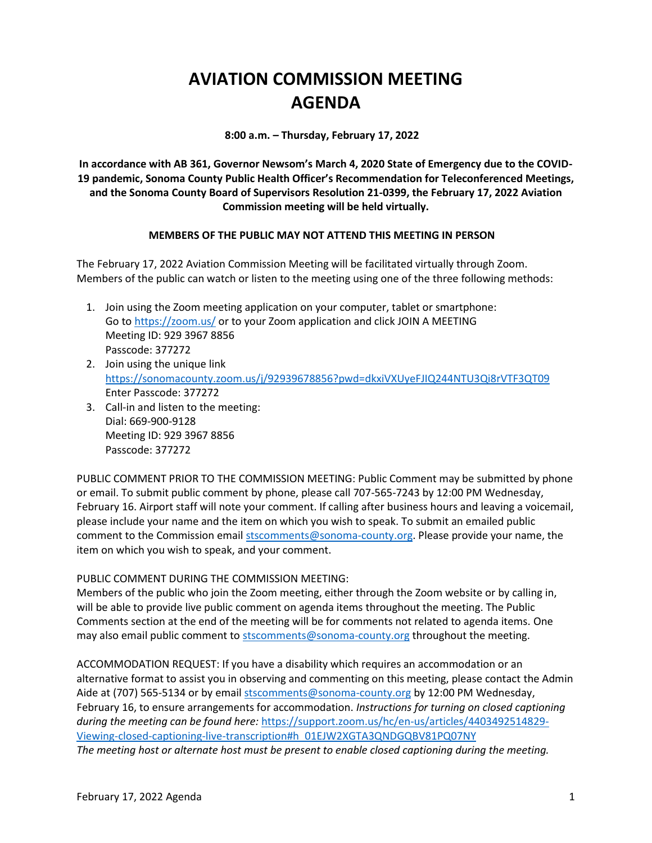# **AVIATION COMMISSION MEETING AGENDA**

**8:00 a.m. – Thursday, February 17, 2022**

**In accordance with AB 361, Governor Newsom's March 4, 2020 State of Emergency due to the COVID-19 pandemic, Sonoma County Public Health Officer's Recommendation for Teleconferenced Meetings, and the Sonoma County Board of Supervisors Resolution 21-0399, the February 17, 2022 Aviation Commission meeting will be held virtually.**

## **MEMBERS OF THE PUBLIC MAY NOT ATTEND THIS MEETING IN PERSON**

The February 17, 2022 Aviation Commission Meeting will be facilitated virtually through Zoom. Members of the public can watch or listen to the meeting using one of the three following methods:

- 1. Join using the Zoom meeting application on your computer, tablet or smartphone: Go to<https://zoom.us/> or to your Zoom application and click JOIN A MEETING Meeting ID: 929 3967 8856 Passcode: 377272
- 2. Join using the unique link <https://sonomacounty.zoom.us/j/92939678856?pwd=dkxiVXUyeFJIQ244NTU3Qi8rVTF3QT09> Enter Passcode: 377272
- 3. Call-in and listen to the meeting: Dial: 669-900-9128 Meeting ID: 929 3967 8856 Passcode: 377272

PUBLIC COMMENT PRIOR TO THE COMMISSION MEETING: Public Comment may be submitted by phone or email. To submit public comment by phone, please call 707-565-7243 by 12:00 PM Wednesday, February 16. Airport staff will note your comment. If calling after business hours and leaving a voicemail, please include your name and the item on which you wish to speak. To submit an emailed public comment to the Commission email [stscomments@sonoma-county.org.](mailto:stscomments@sonoma-county.org) Please provide your name, the item on which you wish to speak, and your comment.

## PUBLIC COMMENT DURING THE COMMISSION MEETING:

Members of the public who join the Zoom meeting, either through the Zoom website or by calling in, will be able to provide live public comment on agenda items throughout the meeting. The Public Comments section at the end of the meeting will be for comments not related to agenda items. One may also email public comment to [stscomments@sonoma-county.org](mailto:stscomments@sonoma-county.org) throughout the meeting.

ACCOMMODATION REQUEST: If you have a disability which requires an accommodation or an alternative format to assist you in observing and commenting on this meeting, please contact the Admin Aide at (707) 565-5134 or by emai[l stscomments@sonoma-county.org](mailto:stscomments@sonoma-county.org) by 12:00 PM Wednesday, February 16, to ensure arrangements for accommodation. *Instructions for turning on closed captioning during the meeting can be found here:* [https://support.zoom.us/hc/en-us/articles/4403492514829-](https://support.zoom.us/hc/en-us/articles/4403492514829-Viewing-closed-captioning-live-transcription#h_01EJW2XGTA3QNDGQBV81PQ07NY) [Viewing-closed-captioning-live-transcription#h\\_01EJW2XGTA3QNDGQBV81PQ07NY](https://support.zoom.us/hc/en-us/articles/4403492514829-Viewing-closed-captioning-live-transcription#h_01EJW2XGTA3QNDGQBV81PQ07NY) *The meeting host or alternate host must be present to enable closed captioning during the meeting.*